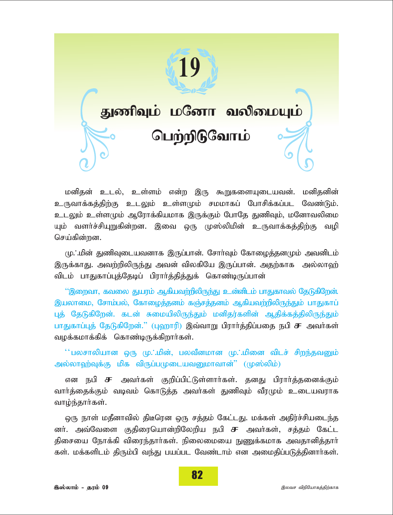

*kdpjd; cly;> cs;sk; vd;w ,U \$WfisAilatd;. kdpjdpd;* உருவாக்கத்திற்கு உடலும் உள்ளமும் சமமாகப் போசிக்கப்பட வேண்டும். *clYk; cs;sKk; MNuhf;fpakhf ,Uf;Fk; NghNj JzpTk;> kNdhtypik* யும் வளர்ச்சியுறுகின்றன. இவை ஒரு முஸ்லிமின் உருவாக்கத்திற்கு வழி செய்கின்றன.

*K/kpd; JzpTilatdhf ,Ug;ghd;. Nrhh;Tk; Nfhioj;jdKk; mtdplk;* இருக்காது. அவற்றிலிருந்து அவன் விலகியே இருப்பான். அதற்காக அல்லாஹ் விடம் பாதுகாப்புத்தேடிப் பிரார்த்தித்துக் கொண்டிருப்பான்

'*'*இறைவா, கவலை துயரம் ஆகியவற்றிலிருந்து உன்னிடம் பாதுகாவல் தேடுகிறேன். இயலாமை, சோம்பல், கோழைத்தனம் கஞ்சத்தனம் ஆகியவற்றிலிருந்தும் பாதுகாப் புத் தேடுகிறேன். கடன் சுமையிலிருந்தும் மனிதர்களின் ஆதிக்கத்திலிருந்தும் பாதுகாப்புத் தேடுகிறேன்." (புஹாரி) இவ்வாறு பிரார்த்திப்பதை நபி **சு** அவர்கள் வழக்கமாக்கிக் கொண்டிருக்கிறார்கள்.

 $^*$ பலசாலியான ஒரு மு.்.மின், பலவீனமான மு.்.மினை விடச் சிறந்தவனும் அல்லாஹ்வுக்கு மிக விருப்பமுடையவனுமாவான்'' (முஸ்லிம்)

என நபி **சு** அவர்கள் குறிப்பிட்டுள்ளார்கள். தனது பிரார்த்தனைக்கும் வார்த்தைக்கும் வடிவம் கொடுத்த அவர்கள் துணிவும் வீரமும் உடையவராக வாழ்ந்தார்கள்.

ஒரு நாள் மதீனாவில் திடீரென ஒரு சத்தம் கேட்டது. மக்கள் அதிர்ச்சியடைந்த னர். அவ்வேளை குதிரையொன்றிலேறிய நபி **சு** அவர்கள், சத்தம் கேட்ட திசையை நோக்கி விரைந்தார்கள். நிலைமையை நுணுக்கமாக அவதானித்தார் கள். மக்களிடம் திரும்பி வந்து பயப்பட வேண்டாம் என அமைதிப்படுத்தினார்கள்.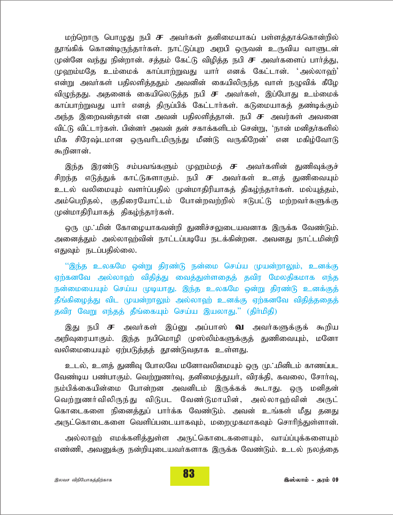மற்றொரு பொழுது நபி **சு** அவா்கள் தனிமையாகப் பள்ளத்தாக்கொன்றில் தூங்கிக் கொண்டிருந்தார்கள். நாட்டுப்புற அறபி ஒருவன் உருவிய வாளுடன் முன்னே வந்து நின்றான். சத்தம் கேட்டு விழித்த நபி **சு** அவர்களைப் பார்த்து, *K`k;kNj ck;ikf; fhg;ghw;WtJ ahh; vdf; Nfl;lhd;. ~my;yh`;|* என்று அவர்கள் பதிலளித்ததும் அவனின் கையிலிருந்த வாள் நழுவிக் கீழே விழுந்தது. அதனைக் கையிலெடுத்த நபி **சு** அவர்கள், இப்போது உம்மைக் காப்பாற்றுவது யார் எனத் திருப்பிக் கேட்டார்கள். கடுமையாகத் தண்டிக்கும் அந்த இறைவன்தான் என அவன் பதிலளித்தான். நபி **சு** அவர்கள் அவனை *tpl;L tpl;lhu;fs;. gpd;dh; mtd; jd; rfhf;fsplk; nrd;W>* '*ehd; kdpjh;fspy;* மிக சிரேஷ்டமான ஒருவரிடமிருந்து மீண்டு வருகிறேன்' என மகிழ்வோடு கூறினான்.

இந்த இரண்டு சம்பவங்களும் முஹம்மத் **ச** அவர்களின் துணிவுக்குச் சிறந்த எடுத்துக் காட்டுகளாகும். நபி **சு** அவா்கள் உளத் துணிவையும் *cly; typikAk; tsh;g;gjpy; Kd;khjpupahfj; jpfo;e;jhh;fs;. ky;Aj;jk;>* அம்பெறிதல், குதிரையோட்டம் போன்றவற்றில் ஈடுபட்டு மற்றவர்களுக்கு *Kd;khjpupahfj; jpfo;e;jhu;fs;.*

ஒரு மு**்**.மின் கோழையாகவன்றி துணிச்சலுடையவனாக இருக்க வேண்டும். அனைத்தும் அல்லாஹ்வின் நாட்டப்படியே நடக்கின்றன. அவனது நாட்டமின்றி எதுவும் நடப்பதில்லை.

"இந்த உலகமே ஒன்று திரண்டு நன்மை செய்ய முயன்றாலும், உனக்கு ஏற்கனவே அல்லாஹ் விதித்து வைத்துள்ளதைத் தவிர மேலதிகமாக எந்த நன்மையையும் செய்ய முடியாது. இந்த உலகமே ஒன்று திரண்டு உனக்குத் தீங்கிழைத்து விட முயன்றாலும் அல்லாஹ் உனக்கு ஏற்கனவே விதித்ததைத் தவிர வேறு எந்தத் தீங்கையும் செய்ய இயலாது.'' (திர்மிதி)

இது நபி **சு** அவர்கள் இப்னு அப்பாஸ் **வெ** அவர்களுக்குக் கூறிய அறிவுரையாகும். இந்த நபிமொழி முஸ்லிம்களுக்குத் துணிவையும், மனோ வலிமையையும் ஏற்படுத்தத் தூண்டுவதாக உள்ளது.

உடல், உளத் துணிவு போலவே மனோவலிமையும் ஒரு மு. மினிடம் காணப்பட வேண்டிய பண்பாகும். வெற்றுணர்வு, தனிமைத்துயர், விரக்தி, கவலை, சோர்வு, நம்பிக்கையின்மை போன்றன அவனிடம் இருக்கக் கூடாது. ஒரு மனிதன் வெற்றுணர்விலிருந்து விடுபட வேண்டுமாயின், அல்லாஹ்வின் அருட் கொடைகளை நினைத்துப் பார்க்க வேண்டும். அவன் உங்கள் மீது தனது அருட்கொடைகளை வெளிப்படையாகவும், மறைமுகமாகவும் சொரிந்துள்ளான்.

அல்லாஹ் எமக்களித்துள்ள அருட்கொடைகளையும், வாய்ப்புக்களையும் எண்ணி, அவனுக்கு நன்றியுடையவர்களாக இருக்க வேண்டும். உடல் நலத்தை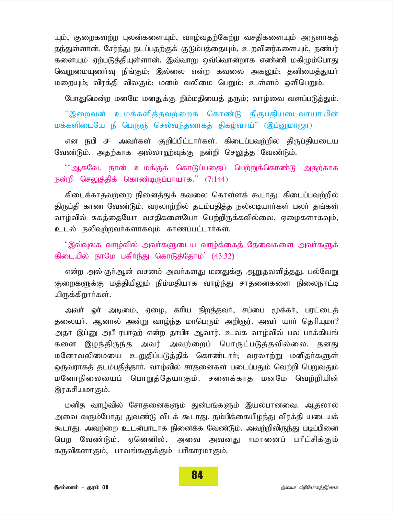யும், குறைகளற்ற புலன்களையும், வாழ்வதற்கேற்ற வசதிகளையும் அருளாகத் தந்துள்ளான். சேர்ந்து நடப்பதற்குக் குடும்பத்தையும், உறவினர்களையும், நண்பர் களையும் ஏற்படுத்தியுள்ளான். இவ்வாறு ஒவ்வொன்றாக எண்ணி மகிழும்போது <u>வெறுமையுணர்வு நீங்கும்; இல்லை என்ற கவலை அகலும்; தனிமைத்துயர்</u> மறையும்; விரக்தி விலகும்; மனம் வலிமை பெறும்; உள்ளம் ஒளிபெறும்.

போதுமென்ற மனமே மனதுக்கு நிம்மதியைத் தரும்; வாழ்வை வளப்படுத்தும்.

"இறைவன் உமக்களித்தவற்றைக் கொண்டு திருப்தியடைவாயாயின் <u>மக்களிடையே நீ பெருஞ் செல்வந்தனாகத் திகழ்வாய்" (இப்னுமாஜா)</u>

என நபி **சு** அவர்கள் குறிப்பிட்டார்கள். கிடைப்பவற்றில் திருப்தியடைய வேண்டும். அதற்காக அல்லாவற்வக்கு நன்றி செலுத்த வேண்டும்.

 $^{'}$ ஆகவே, நான் உமக்குக் கொடுப்பதைப் பெற்றுக்கொண்டு அதற்காக நன்றி செலுத்திக் கொண்டிருப்பாயாக.'' (7:144)

கிடைக்காதவற்றை நினைத்துக் கவலை கொள்ளக் கூடாது. கிடைப்பவ**ற்றில்** திருப்தி காண வேண்டும். வரலாற்றில் தடம்பதித்த நல்லடியார்கள் பலர் தங்கள் வாழ்வில் சுகத்தையோ வசதிகளையோ பெற்றிருக்கவில்லை, ஏழைகளாகவும், *cly; eypTw;wth;fshfTk; fhzg;gl;lhh;fs;.*

்இவ்வுலக வாழ்வில் அவர்களுடைய வாழ்க்கைத் தேவைகளை அவர்களுக் *fpilapy; ehNk gfph;e;J nfhLj;Njhk;| (43:32)*

என்ற அல்-குர்ஆன் வசனம் அவர்களது மனதுக்கு <u>ஆறு</u>தலளித்தது. பல்வேறு குறைகளுக்கு மத்தியிலும் நிம்மதியாக வாழ்ந்து சாதனைகளை நிலைநாட்டி யிருக்கிறார்கள்.

அவா் ஓா் அடிமை, ஏழை, காிய நிறத்தவா், சப்பை மூக்கா், பரட்டைத் தலையா். ஆனால் அன்று வாழ்ந்த மாபெரும் அறிஞர். அவா் யாா் தொியுமா? அதா இப்னு அபீ ரபாஹ் என்ற தாபிஈ ஆவார். உலக வாழ்வில் பல பாக்கியங் களை இழந்திருந்த அவர் அவற்றைப் பொருட்படுத்தவில்லை. தனது மனோவலிமையை உறுதிப்படுத்திக் கொண்டார்; வரலாற்று மனிதர்களுள்  $\alpha$ ருவராகத் தடம்பதித்தார். வாம்வில் சாதனைகள் படைப்பதும் வெற்றி பெறுவதும் மனோநிலையைப் பொறுக்கேயாகும். சளைக்காக மனமே வெற்றியின் இரகசியமாகும்.

மனித வாழ்வில் சோதனைகளும் துன்பங்களும் இயல்பானவை. ஆதலால் அவை வரும்போது துவண்டு விடக் கூடாது. நம்பிக்கையி<u>ழந்து</u> விரக்தி யடையக் கூடாது. அவற்றை உடன்பாடாக நினைக்க வேண்டும். அவற்றிலிருந்து படிப்பினை *ngw Ntz;Lk;. Vnddpy;> mit mtdJ <khidg; ghPl;rpf;Fk;* கருவிகளாகும், பாவங்களுக்கும் பரிகாரமாகும்.

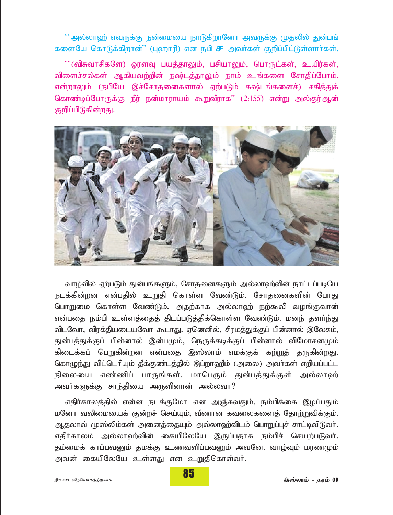$^{\prime\prime}$ அல்லாஹ் எவருக்கு நன்மையை நாடுகிறானோ அவருக்கு முதலில் துன்பங் களையே கொடுக்கிறான்" (புஹாரி) என நபி **சு** அவர்கள் குறிப்பிட்டுள்ளார்கள்.

 $``$ (விசுவாசிகளே) ஓரளவு பயத்தாலும், பசியாலும், பொருட்கள், உயிர்கள், விளைச்சல்கள் ஆகியவற்றின் நஷ்டத்தாலும் நாம் உங்களை சோதிப்போம். என்றாலும் (நபியே இச்சோதனைகளால் ஏற்படும் கஷ்டங்களைச்) சகித்துக் கொண்டிப்போருக்கு நீர் நன்மாராயம் கூறுவீராக" (2:155) என்று அல்குர்ஆன் குறிப்பிடுகின்றது.



*tho;tpy; Vw;gLk; Jd;gq;fSk;> NrhjidfSk; my;yh`;tpd; ehl;lg;gbNa* நடக்கின்றன என்பதில் உறுதி கொள்ள வேண்டும். சோதனைகளின் போது பொறுமை கொள்ள வேண்டும். அதற்காக அல்லாஹ் நற்கூலி வழங்குவான் என்பதை நம்பி உள்ளத்தைத் திடப்படுத்திக்கொள்ள வேண்டும். மனந் தளர்ந்து விடவோ, விரக்தியடையவோ கூடாது. ஏனெனில், சிரமத்துக்குப் பின்னால் இலேசும், துன்பத்துக்குப் பின்னால் இன்பமும், நெருக்கடிக்குப் பின்னால் விமோசனமும் கிடைக்கப் பெறுகின்றன என்பதை இஸ்லாம் எமக்குக் கற்றுத் தருகின்ற<u>து</u>. கொழுந்து விட்டெரியும் தீக்குண்டத்தில் இப்றாஹீம் (அலை) அவா்கள் எறியப்பட்ட நிலையை எண்ணிப் பாருங்கள். மாபெரும் துன்பத்துக்குள் அல்லாஹ் அவர்களுக்கு சாந்தியை அருளினான் அல்லவா?

எதிர்காலத்தில் என்ன நடக்குமோ என அஞ்சுவதும், நம்பிக்கை இழப்பதும் *kNdh typikiaf; Fd;wr; nra;Ak;@ tPzhd ftiyfisj; Njhw;Wtpf;Fk;.* ஆதலால் முஸ்லிம்கள் அனைத்தையும் அல்லாஹ்விடம் பொறுப்புச் சாட்டிவிடுவா். எதிர்காலம் அல்லாஹ்வின் கையிலேயே இருப்பதாக நம்பிச் செயற்படுவர். தம்மைக் காப்பவனும் தமக்கு உணவளிப்பவனும் அவனே. வாழ்வும் மரணமும் அவன் கையிலேயே உள்ளது என உறுதிகொள்வர்.